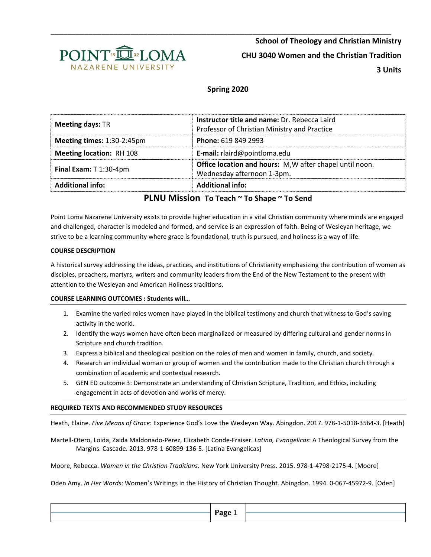

# **Spring 2020**

| <b>Meeting days: TR</b>         | Instructor title and name: Dr. Rebecca Laird<br>Professor of Christian Ministry and Practice |
|---------------------------------|----------------------------------------------------------------------------------------------|
| Meeting times: 1:30-2:45pm      | Phone: 619 849 2993                                                                          |
| <b>Meeting location: RH 108</b> | <b>E-mail:</b> rlaird@pointloma.edu                                                          |
| Final Exam: $T$ 1:30-4pm        | Office location and hours: M, W after chapel until noon.<br>Wednesday afternoon 1-3pm.       |
| <b>Additional info:</b>         | <b>Additional info:</b>                                                                      |

## **PLNU Mission To Teach ~ To Shape ~ To Send**

Point Loma Nazarene University exists to provide higher education in a vital Christian community where minds are engaged and challenged, character is modeled and formed, and service is an expression of faith. Being of Wesleyan heritage, we strive to be a learning community where grace is foundational, truth is pursued, and holiness is a way of life.

## **COURSE DESCRIPTION**

A historical survey addressing the ideas, practices, and institutions of Christianity emphasizing the contribution of women as disciples, preachers, martyrs, writers and community leaders from the End of the New Testament to the present with attention to the Wesleyan and American Holiness traditions.

## **COURSE LEARNING OUTCOMES : Students will…**

- 1. Examine the varied roles women have played in the biblical testimony and church that witness to God's saving activity in the world.
- 2. Identify the ways women have often been marginalized or measured by differing cultural and gender norms in Scripture and church tradition.
- 3. Express a biblical and theological position on the roles of men and women in family, church, and society.
- 4. Research an individual woman or group of women and the contribution made to the Christian church through a combination of academic and contextual research.
- 5. GEN ED outcome 3: Demonstrate an understanding of Christian Scripture, Tradition, and Ethics, including engagement in acts of devotion and works of mercy.

## **REQUIRED TEXTS AND RECOMMENDED STUDY RESOURCES**

Heath, Elaine*. Five Means of Grace*: Experience God's Love the Wesleyan Way. Abingdon. 2017. 978-1-5018-3564-3. [Heath}

Martell-Otero, Loida, Zaida Maldonado-Perez, Elizabeth Conde-Fraiser. *Latina, Evangelicas*: A Theological Survey from the Margins. Cascade. 2013. 978-1-60899-136-5. [Latina Evangelicas]

Moore, Rebecca. *Women in the Christian Traditions*. New York University Press. 2015. 978-1-4798-2175-4. [Moore]

Oden Amy. *In Her Words*: Women's Writings in the History of Christian Thought. Abingdon. 1994. 0-067-45972-9. [Oden]

| $P$ age                        |  |
|--------------------------------|--|
| $\overline{\phantom{a}}$<br>__ |  |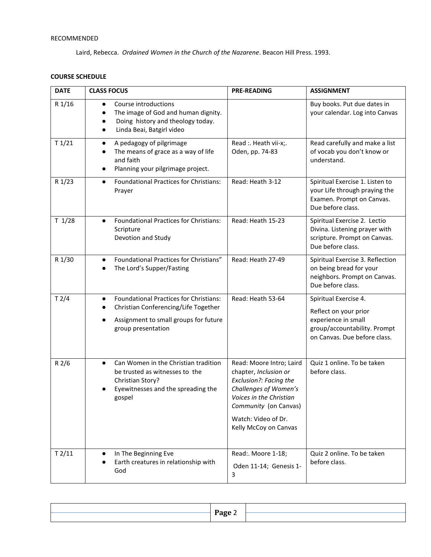## RECOMMENDED

Laird, Rebecca. *Ordained Women in the Church of the Nazarene*. Beacon Hill Press. 1993.

## **COURSE SCHEDULE**

| <b>DATE</b> | <b>CLASS FOCUS</b>                                                                                                                                                                          | <b>PRE-READING</b>                                                                                                                                                                                       | <b>ASSIGNMENT</b>                                                                                                                     |
|-------------|---------------------------------------------------------------------------------------------------------------------------------------------------------------------------------------------|----------------------------------------------------------------------------------------------------------------------------------------------------------------------------------------------------------|---------------------------------------------------------------------------------------------------------------------------------------|
| R 1/16      | Course introductions<br>$\bullet$<br>The image of God and human dignity.<br>Doing history and theology today.<br>Linda Beai, Batgirl video<br>$\bullet$                                     |                                                                                                                                                                                                          | Buy books. Put due dates in<br>your calendar. Log into Canvas                                                                         |
| T1/21       | A pedagogy of pilgrimage<br>$\bullet$<br>The means of grace as a way of life<br>$\bullet$<br>and faith<br>Planning your pilgrimage project.<br>٠                                            | Read :. Heath vii-x;.<br>Oden, pp. 74-83                                                                                                                                                                 | Read carefully and make a list<br>of vocab you don't know or<br>understand.                                                           |
| R 1/23      | <b>Foundational Practices for Christians:</b><br>$\bullet$<br>Prayer                                                                                                                        | Read: Heath 3-12                                                                                                                                                                                         | Spiritual Exercise 1. Listen to<br>your Life through praying the<br>Examen. Prompt on Canvas.<br>Due before class.                    |
| T 1/28      | <b>Foundational Practices for Christians:</b><br>$\bullet$<br>Scripture<br>Devotion and Study                                                                                               | Read: Heath 15-23                                                                                                                                                                                        | Spiritual Exercise 2. Lectio<br>Divina. Listening prayer with<br>scripture. Prompt on Canvas.<br>Due before class.                    |
| R 1/30      | Foundational Practices for Christians"<br>$\bullet$<br>The Lord's Supper/Fasting                                                                                                            | Read: Heath 27-49                                                                                                                                                                                        | Spiritual Exercise 3. Reflection<br>on being bread for your<br>neighbors. Prompt on Canvas.<br>Due before class.                      |
| T2/4        | <b>Foundational Practices for Christians:</b><br>$\bullet$<br>Christian Conferencing/Life Together<br>$\bullet$<br>Assignment to small groups for future<br>$\bullet$<br>group presentation | Read: Heath 53-64                                                                                                                                                                                        | Spiritual Exercise 4.<br>Reflect on your prior<br>experience in small<br>group/accountability. Prompt<br>on Canvas. Due before class. |
| R2/6        | Can Women in the Christian tradition<br>$\bullet$<br>be trusted as witnesses to the<br>Christian Story?<br>Eyewitnesses and the spreading the<br>gospel                                     | Read: Moore Intro; Laird<br>chapter, Inclusion or<br>Exclusion?: Facing the<br>Challenges of Women's<br>Voices in the Christian<br>Community (on Canvas)<br>Watch: Video of Dr.<br>Kelly McCoy on Canvas | Quiz 1 online. To be taken<br>before class.                                                                                           |
| T2/11       | In The Beginning Eve<br>$\bullet$<br>Earth creatures in relationship with<br>God                                                                                                            | Read:. Moore 1-18;<br>Oden 11-14; Genesis 1-<br>3                                                                                                                                                        | Quiz 2 online. To be taken<br>before class.                                                                                           |

| Page |  |
|------|--|
|      |  |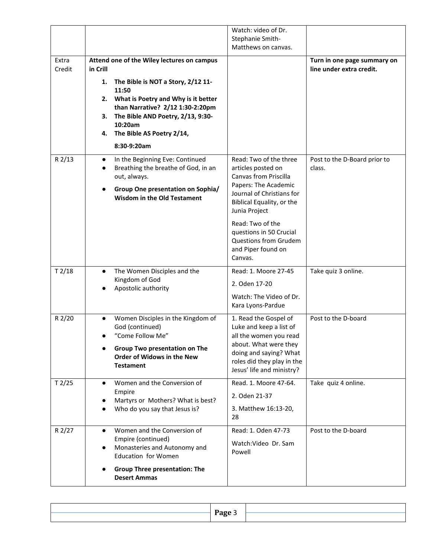|        |                                                                                                                                                                                              | Watch: video of Dr.                                                                                                                                                                      |                                                         |
|--------|----------------------------------------------------------------------------------------------------------------------------------------------------------------------------------------------|------------------------------------------------------------------------------------------------------------------------------------------------------------------------------------------|---------------------------------------------------------|
|        |                                                                                                                                                                                              | Stephanie Smith-<br>Matthews on canvas.                                                                                                                                                  |                                                         |
| Extra  |                                                                                                                                                                                              |                                                                                                                                                                                          |                                                         |
| Credit | Attend one of the Wiley lectures on campus<br>in Crill                                                                                                                                       |                                                                                                                                                                                          | Turn in one page summary on<br>line under extra credit. |
|        | The Bible is NOT a Story, 2/12 11-<br>1.<br>11:50                                                                                                                                            |                                                                                                                                                                                          |                                                         |
|        | 2. What is Poetry and Why is it better<br>than Narrative? 2/12 1:30-2:20pm<br>The Bible AND Poetry, 2/13, 9:30-<br>3.<br>10:20am                                                             |                                                                                                                                                                                          |                                                         |
|        | The Bible AS Poetry 2/14,<br>4.                                                                                                                                                              |                                                                                                                                                                                          |                                                         |
|        | 8:30-9:20am                                                                                                                                                                                  |                                                                                                                                                                                          |                                                         |
| R 2/13 | In the Beginning Eve: Continued<br>$\bullet$<br>Breathing the breathe of God, in an<br>$\bullet$<br>out, always.<br>Group One presentation on Sophia/<br><b>Wisdom in the Old Testament</b>  | Read: Two of the three<br>articles posted on<br><b>Canvas from Priscilla</b><br>Papers: The Academic<br>Journal of Christians for<br>Biblical Equality, or the                           | Post to the D-Board prior to<br>class.                  |
|        |                                                                                                                                                                                              | Junia Project                                                                                                                                                                            |                                                         |
|        |                                                                                                                                                                                              | Read: Two of the<br>questions in 50 Crucial<br>Questions from Grudem<br>and Piper found on<br>Canvas.                                                                                    |                                                         |
| T2/18  | The Women Disciples and the<br>$\bullet$                                                                                                                                                     | Read: 1. Moore 27-45                                                                                                                                                                     | Take quiz 3 online.                                     |
|        | Kingdom of God<br>Apostolic authority                                                                                                                                                        | 2. Oden 17-20                                                                                                                                                                            |                                                         |
|        |                                                                                                                                                                                              | Watch: The Video of Dr.<br>Kara Lyons-Pardue                                                                                                                                             |                                                         |
| R 2/20 | Women Disciples in the Kingdom of<br>$\bullet$<br>God (continued)<br>"Come Follow Me"<br><b>Group Two presentation on The</b><br>$\bullet$<br>Order of Widows in the New<br><b>Testament</b> | 1. Read the Gospel of<br>Luke and keep a list of<br>all the women you read<br>about. What were they<br>doing and saying? What<br>roles did they play in the<br>Jesus' life and ministry? | Post to the D-board                                     |
| T2/25  | Women and the Conversion of<br>$\bullet$                                                                                                                                                     | Read. 1. Moore 47-64.                                                                                                                                                                    | Take quiz 4 online.                                     |
|        | Empire<br>Martyrs or Mothers? What is best?                                                                                                                                                  | 2. Oden 21-37                                                                                                                                                                            |                                                         |
|        | Who do you say that Jesus is?                                                                                                                                                                | 3. Matthew 16:13-20,<br>28                                                                                                                                                               |                                                         |
| R 2/27 | Women and the Conversion of<br>$\bullet$                                                                                                                                                     | Read: 1. Oden 47-73                                                                                                                                                                      | Post to the D-board                                     |
|        | Empire (continued)<br>Monasteries and Autonomy and<br>٠<br><b>Education for Women</b>                                                                                                        | Watch:Video Dr. Sam<br>Powell                                                                                                                                                            |                                                         |
|        | <b>Group Three presentation: The</b><br><b>Desert Ammas</b>                                                                                                                                  |                                                                                                                                                                                          |                                                         |

| $P$ age |  |
|---------|--|
|         |  |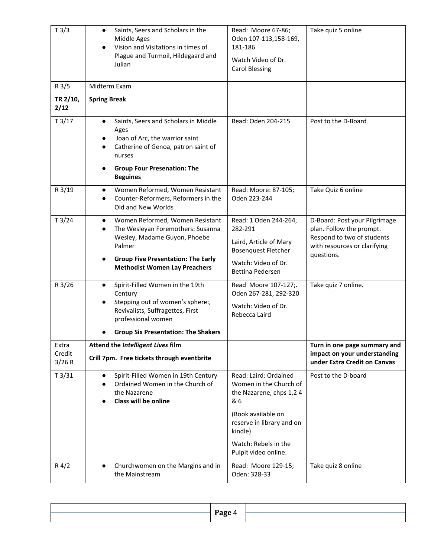| T3/3                      | Saints, Seers and Scholars in the<br>$\bullet$<br>Middle Ages<br>Vision and Visitations in times of<br>$\bullet$<br>Plague and Turmoil, Hildegaard and<br>Julian                                                                           | Read: Moore 67-86;<br>Oden 107-113,158-169,<br>181-186<br>Watch Video of Dr.<br><b>Carol Blessing</b>                                                                                            | Take quiz 5 online                                                                                                                    |
|---------------------------|--------------------------------------------------------------------------------------------------------------------------------------------------------------------------------------------------------------------------------------------|--------------------------------------------------------------------------------------------------------------------------------------------------------------------------------------------------|---------------------------------------------------------------------------------------------------------------------------------------|
| R <sub>3/5</sub>          | Midterm Exam                                                                                                                                                                                                                               |                                                                                                                                                                                                  |                                                                                                                                       |
| TR 2/10,<br>2/12          | <b>Spring Break</b>                                                                                                                                                                                                                        |                                                                                                                                                                                                  |                                                                                                                                       |
| T3/17                     | Saints, Seers and Scholars in Middle<br>$\bullet$<br>Ages<br>Joan of Arc, the warrior saint<br>Catherine of Genoa, patron saint of<br>nurses<br><b>Group Four Presenation: The</b><br><b>Beguines</b>                                      | Read: Oden 204-215                                                                                                                                                                               | Post to the D-Board                                                                                                                   |
| R 3/19                    | Women Reformed, Women Resistant<br>$\bullet$<br>Counter-Reformers, Reformers in the<br>$\bullet$<br>Old and New Worlds                                                                                                                     | Read: Moore: 87-105;<br>Oden 223-244                                                                                                                                                             | Take Quiz 6 online                                                                                                                    |
| T3/24                     | Women Reformed, Women Resistant<br>$\bullet$<br>The Wesleyan Foremothers: Susanna<br>$\bullet$<br>Wesley, Madame Guyon, Phoebe<br>Palmer<br><b>Group Five Presentation: The Early</b><br>$\bullet$<br><b>Methodist Women Lay Preachers</b> | Read: 1 Oden 244-264,<br>282-291<br>Laird, Article of Mary<br><b>Bosenquest Fletcher</b><br>Watch: Video of Dr.<br><b>Bettina Pedersen</b>                                                       | D-Board: Post your Pilgrimage<br>plan. Follow the prompt.<br>Respond to two of students<br>with resources or clarifying<br>questions. |
| R 3/26                    | Spirit-Filled Women in the 19th<br>$\bullet$<br>Century<br>Stepping out of women's sphere:,<br>Revivalists, Suffragettes, First<br>professional women<br><b>Group Six Presentation: The Shakers</b>                                        | Read Moore 107-127;.<br>Oden 267-281, 292-320<br>Watch: Video of Dr.<br>Rebecca Laird                                                                                                            | Take quiz 7 online.                                                                                                                   |
| Extra<br>Credit<br>3/26 R | Attend the Intelligent Lives film<br>Crill 7pm. Free tickets through eventbrite                                                                                                                                                            |                                                                                                                                                                                                  | Turn in one page summary and<br>impact on your understanding<br>under Extra Credit on Canvas                                          |
| T3/31                     | Spirit-Filled Women in 19th Century<br>$\bullet$<br>Ordained Women in the Church of<br>$\bullet$<br>the Nazarene<br>Class will be online<br>$\bullet$                                                                                      | Read: Laird: Ordained<br>Women in the Church of<br>the Nazarene, chps 1,2 4<br>& 6<br>(Book available on<br>reserve in library and on<br>kindle)<br>Watch: Rebels in the<br>Pulpit video online. | Post to the D-board                                                                                                                   |
| $R\,4/2$                  | Churchwomen on the Margins and in<br>$\bullet$<br>the Mainstream                                                                                                                                                                           | Read: Moore 129-15;<br>Oden: 328-33                                                                                                                                                              | Take quiz 8 online                                                                                                                    |

| Page 4 |  |
|--------|--|
|        |  |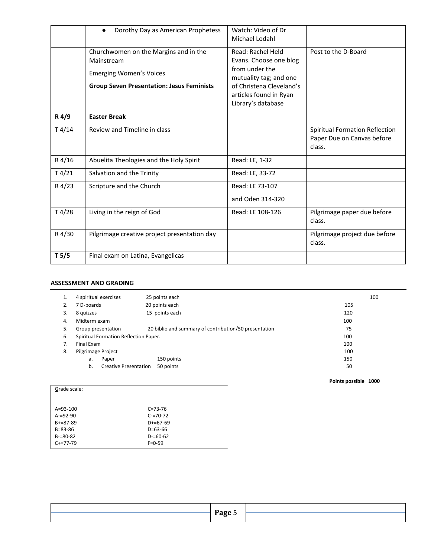|                  | Dorothy Day as American Prophetess<br>$\bullet$                                                                                           | Watch: Video of Dr<br>Michael Lodahl                                                                                                                                |                                                                        |
|------------------|-------------------------------------------------------------------------------------------------------------------------------------------|---------------------------------------------------------------------------------------------------------------------------------------------------------------------|------------------------------------------------------------------------|
|                  | Churchwomen on the Margins and in the<br>Mainstream<br><b>Emerging Women's Voices</b><br><b>Group Seven Presentation: Jesus Feminists</b> | Read: Rachel Held<br>Evans. Choose one blog<br>from under the<br>mutuality tag; and one<br>of Christena Cleveland's<br>articles found in Ryan<br>Library's database | Post to the D-Board                                                    |
| R 4/9            | <b>Easter Break</b>                                                                                                                       |                                                                                                                                                                     |                                                                        |
| T4/14            | Review and Timeline in class                                                                                                              |                                                                                                                                                                     | Spiritual Formation Reflection<br>Paper Due on Canvas before<br>class. |
| R 4/16           | Abuelita Theologies and the Holy Spirit                                                                                                   | Read: LE, 1-32                                                                                                                                                      |                                                                        |
| T4/21            | Salvation and the Trinity                                                                                                                 | Read: LE, 33-72                                                                                                                                                     |                                                                        |
| R 4/23           | Scripture and the Church                                                                                                                  | Read: LE 73-107<br>and Oden 314-320                                                                                                                                 |                                                                        |
| T4/28            | Living in the reign of God                                                                                                                | Read: LE 108-126                                                                                                                                                    | Pilgrimage paper due before<br>class.                                  |
| R 4/30           | Pilgrimage creative project presentation day                                                                                              |                                                                                                                                                                     | Pilgrimage project due before<br>class.                                |
| T <sub>5/5</sub> | Final exam on Latina, Evangelicas                                                                                                         |                                                                                                                                                                     |                                                                        |

### **ASSESSMENT AND GRADING**

| 1. | 4 spiritual exercises                 | 25 points each                                        | 100 |
|----|---------------------------------------|-------------------------------------------------------|-----|
| 2. | 7 D-boards                            | 20 points each                                        | 105 |
| 3. | 8 quizzes                             | 15 points each                                        | 120 |
| 4. | Midterm exam                          |                                                       | 100 |
| 5. | Group presentation                    | 20 biblio and summary of contribution/50 presentation | 75  |
| 6. | Spiritual Formation Reflection Paper. |                                                       | 100 |
| 7. | Final Exam                            |                                                       | 100 |
| 8. | Pilgrimage Project                    |                                                       | 100 |
|    | Paper<br>a.                           | 150 points                                            | 150 |
|    | <b>Creative Presentation</b><br>b.    | 50 points                                             | 50  |
|    |                                       |                                                       |     |

#### **Points possible 1000**

| Grade scale:    |               |  |
|-----------------|---------------|--|
| $A = 93 - 100$  | $C = 73 - 76$ |  |
| $A = 92 - 90$   | $C = 70 - 72$ |  |
| $B + = 87 - 89$ | $D+ = 67-69$  |  |
| $B = 83 - 86$   | $D=63-66$     |  |
| $B = 80 - 82$   | $D = 60 - 62$ |  |
| $C+=77-79$      | $F = 0 - 59$  |  |
|                 |               |  |

| Page |  |
|------|--|
| -    |  |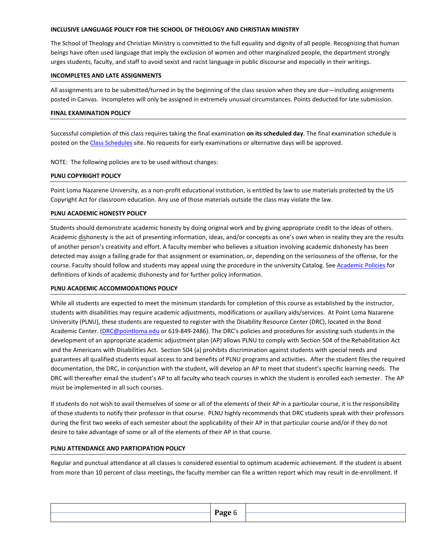#### **INCLUSIVE LANGUAGE POLICY FOR THE SCHOOL OF THEOLOGY AND CHRISTIAN MINISTRY**

The School of Theology and Christian Ministry is committed to the full equality and dignity of all people. Recognizing that human beings have often used language that imply the exclusion of women and other marginalized people, the department strongly urges students, faculty, and staff to avoid sexist and racist language in public discourse and especially in their writings.

#### **INCOMPLETES AND LATE ASSIGNMENTS**

All assignments are to be submitted/turned in by the beginning of the class session when they are due—including assignments posted in Canvas. Incompletes will only be assigned in extremely unusual circumstances. Points deducted for late submission.

#### **FINAL EXAMINATION POLICY**

Successful completion of this class requires taking the final examination **on its scheduled day**. The final examination schedule is posted on the [Class Schedules](http://www.pointloma.edu/experience/academics/class-schedules) site. No requests for early examinations or alternative days will be approved.

NOTE: The following policies are to be used without changes:

#### **PLNU COPYRIGHT POLICY**

Point Loma Nazarene University, as a non-profit educational institution, is entitled by law to use materials protected by the US Copyright Act for classroom education. Any use of those materials outside the class may violate the law.

#### **PLNU ACADEMIC HONESTY POLICY**

Students should demonstrate academic honesty by doing original work and by giving appropriate credit to the ideas of others. Academic dishonesty is the act of presenting information, ideas, and/or concepts as one's own when in reality they are the results of another person's creativity and effort. A faculty member who believes a situation involving academic dishonesty has been detected may assign a failing grade for that assignment or examination, or, depending on the seriousness of the offense, for the course. Faculty should follow and students may appeal using the procedure in the university Catalog. See [Academic Policies](http://catalog.pointloma.edu/content.php?catoid=41&navoid=2435) for definitions of kinds of academic dishonesty and for further policy information.

#### **PLNU ACADEMIC ACCOMMODATIONS POLICY**

While all students are expected to meet the minimum standards for completion of this course as established by the instructor, students with disabilities may require academic adjustments, modifications or auxiliary aids/services. At Point Loma Nazarene University (PLNU), these students are requested to register with the Disability Resource Center (DRC), located in the Bond Academic Center. [\(DRC@pointloma.edu](mailto:DRC@pointloma.edu) or 619-849-2486). The DRC's policies and procedures for assisting such students in the development of an appropriate academic adjustment plan (AP) allows PLNU to comply with Section 504 of the Rehabilitation Act and the Americans with Disabilities Act. Section 504 (a) prohibits discrimination against students with special needs and guarantees all qualified students equal access to and benefits of PLNU programs and activities. After the student files the required documentation, the DRC, in conjunction with the student, will develop an AP to meet that student's specific learning needs. The DRC will thereafter email the student's AP to all faculty who teach courses in which the student is enrolled each semester. The AP must be implemented in all such courses.

If students do not wish to avail themselves of some or all of the elements of their AP in a particular course, it is the responsibility of those students to notify their professor in that course. PLNU highly recommends that DRC students speak with their professors during the first two weeks of each semester about the applicability of their AP in that particular course and/or if they do not desire to take advantage of some or all of the elements of their AP in that course.

#### **PLNU ATTENDANCE AND PARTICIPATION POLICY**

Regular and punctual attendance at all classes is considered essential to optimum academic achievement. If the student is absent from more than 10 percent of class meetings, the faculty member can file a written report which may result in de-enrollment. If

|  | Page 6<br>$\overline{\phantom{a}}$ |  |
|--|------------------------------------|--|
|  |                                    |  |